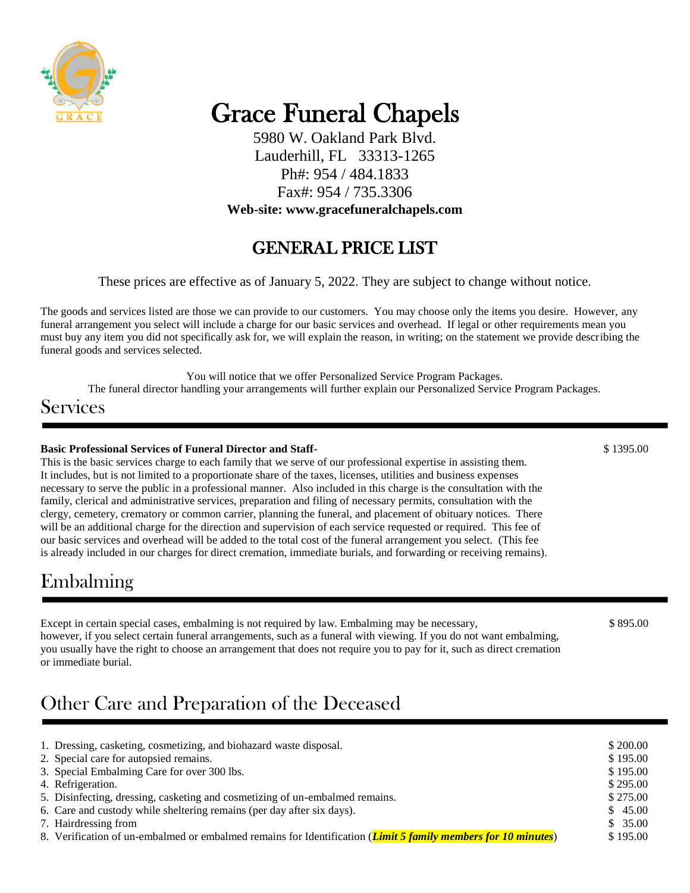

# Grace Funeral Chapels

5980 W. Oakland Park Blvd. Lauderhill, FL 33313-1265 Ph#: 954 / 484.1833 Fax#: 954 / 735.3306 **Web-site: www.gracefuneralchapels.com**

### GENERAL PRICE LIST

These prices are effective as of January 5, 2022. They are subject to change without notice.

The goods and services listed are those we can provide to our customers. You may choose only the items you desire. However, any funeral arrangement you select will include a charge for our basic services and overhead. If legal or other requirements mean you must buy any item you did not specifically ask for, we will explain the reason, in writing; on the statement we provide describing the funeral goods and services selected.

You will notice that we offer Personalized Service Program Packages.

The funeral director handling your arrangements will further explain our Personalized Service Program Packages.

### **Services**

#### **Basic Professional Services of Funeral Director and Staff-**  $$1395.00$

This is the basic services charge to each family that we serve of our professional expertise in assisting them. It includes, but is not limited to a proportionate share of the taxes, licenses, utilities and business expenses necessary to serve the public in a professional manner. Also included in this charge is the consultation with the family, clerical and administrative services, preparation and filing of necessary permits, consultation with the clergy, cemetery, crematory or common carrier, planning the funeral, and placement of obituary notices. There will be an additional charge for the direction and supervision of each service requested or required. This fee of our basic services and overhead will be added to the total cost of the funeral arrangement you select. (This fee is already included in our charges for direct cremation, immediate burials, and forwarding or receiving remains).

### Embalming

Except in certain special cases, embalming is not required by law. Embalming may be necessary,  $$895.00$ however, if you select certain funeral arrangements, such as a funeral with viewing. If you do not want embalming, you usually have the right to choose an arrangement that does not require you to pay for it, such as direct cremation or immediate burial.

## Other Care and Preparation of the Deceased

| 1. Dressing, casketing, cosmetizing, and biohazard waste disposal.                                                     | \$200.00 |
|------------------------------------------------------------------------------------------------------------------------|----------|
| 2. Special care for autopsied remains.                                                                                 | \$195.00 |
| 3. Special Embalming Care for over 300 lbs.                                                                            | \$195.00 |
| 4. Refrigeration.                                                                                                      | \$295.00 |
| 5. Disinfecting, dressing, casketing and cosmetizing of un-embalmed remains.                                           | \$275.00 |
| 6. Care and custody while sheltering remains (per day after six days).                                                 | \$45.00  |
| 7. Hairdressing from                                                                                                   | \$35.00  |
| 8. Verification of un-embalmed or embalmed remains for Identification ( <i>Limit 5 family members for 10 minutes</i> ) | \$195.00 |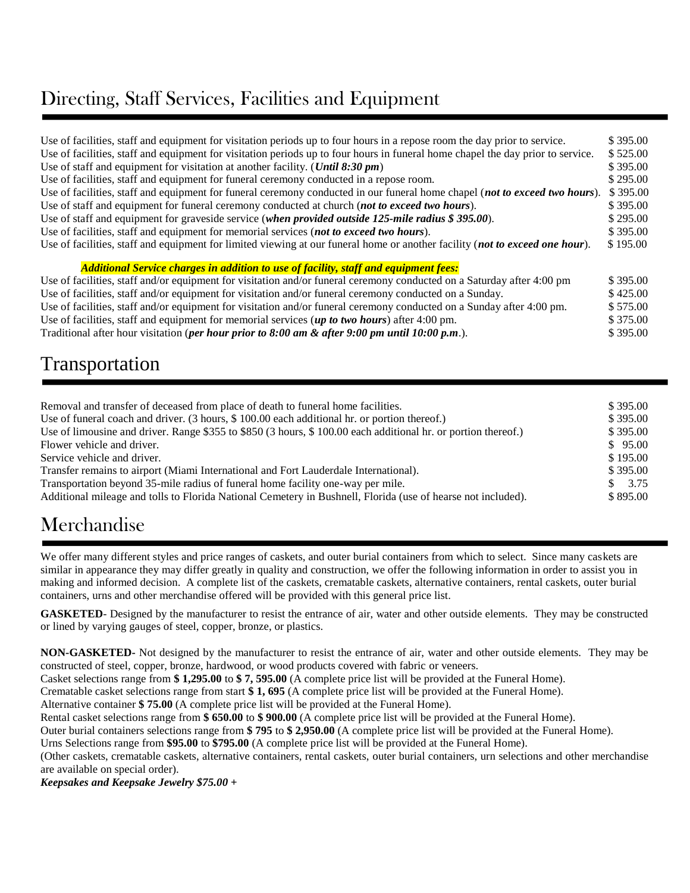### Directing, Staff Services, Facilities and Equipment

| Use of facilities, staff and equipment for visitation periods up to four hours in a repose room the day prior to service.       | \$395.00 |
|---------------------------------------------------------------------------------------------------------------------------------|----------|
| Use of facilities, staff and equipment for visitation periods up to four hours in funeral home chapel the day prior to service. | \$525.00 |
| Use of staff and equipment for visitation at another facility. ( <i>Until 8:30 pm</i> )                                         | \$395.00 |
| Use of facilities, staff and equipment for funeral ceremony conducted in a repose room.                                         | \$295.00 |
| Use of facilities, staff and equipment for funeral ceremony conducted in our funeral home chapel (not to exceed two hours).     | \$395.00 |
| Use of staff and equipment for funeral ceremony conducted at church (not to exceed two hours).                                  | \$395.00 |
| Use of staff and equipment for graveside service (when provided outside 125-mile radius \$395.00).                              | \$295.00 |
| Use of facilities, staff and equipment for memorial services (not to exceed two hours).                                         | \$395.00 |
| Use of facilities, staff and equipment for limited viewing at our funeral home or another facility (not to exceed one hour).    | \$195.00 |
| <b>Additional Service charges in addition to use of facility, staff and equipment fees:</b>                                     |          |
| Use of facilities, staff and/or equipment for visitation and/or funeral ceremony conducted on a Saturday after 4:00 pm          | \$395.00 |
| Use of facilities, staff and/or equipment for visitation and/or funeral ceremony conducted on a Sunday.                         | \$425.00 |
| Use of facilities, staff and/or equipment for visitation and/or funeral ceremony conducted on a Sunday after 4:00 pm.           | \$575.00 |
| Use of facilities, staff and equipment for memorial services (up to two hours) after 4:00 pm.                                   | \$375.00 |

Traditional after hour visitation (*per hour prior to 8:00 am & after 9:00 pm until 10:00 p.m*.). \$ 395.00

### Transportation

| Removal and transfer of deceased from place of death to funeral home facilities.                              | \$395.00          |
|---------------------------------------------------------------------------------------------------------------|-------------------|
| Use of funeral coach and driver. (3 hours, \$100.00 each additional hr. or portion thereof.)                  | \$395.00          |
| Use of limousine and driver. Range \$355 to \$850 (3 hours, \$100.00 each additional hr. or portion thereof.) | \$395.00          |
| Flower vehicle and driver.                                                                                    | \$95.00           |
| Service vehicle and driver.                                                                                   | \$195.00          |
| Transfer remains to airport (Miami International and Fort Lauderdale International).                          | \$395.00          |
| Transportation beyond 35-mile radius of funeral home facility one-way per mile.                               | $\frac{\$}{3.75}$ |
| Additional mileage and tolls to Florida National Cemetery in Bushnell, Florida (use of hearse not included).  | \$895.00          |

### Merchandise

We offer many different styles and price ranges of caskets, and outer burial containers from which to select. Since many caskets are similar in appearance they may differ greatly in quality and construction, we offer the following information in order to assist you in making and informed decision. A complete list of the caskets, crematable caskets, alternative containers, rental caskets, outer burial containers, urns and other merchandise offered will be provided with this general price list.

**GASKETED**- Designed by the manufacturer to resist the entrance of air, water and other outside elements. They may be constructed or lined by varying gauges of steel, copper, bronze, or plastics.

**NON-GASKETED-** Not designed by the manufacturer to resist the entrance of air, water and other outside elements. They may be constructed of steel, copper, bronze, hardwood, or wood products covered with fabric or veneers.

Casket selections range from **\$ 1,295.00** to **\$ 7, 595.00** (A complete price list will be provided at the Funeral Home).

Crematable casket selections range from start **\$ 1, 695** (A complete price list will be provided at the Funeral Home).

Alternative container **\$ 75.00** (A complete price list will be provided at the Funeral Home).

Rental casket selections range from **\$ 650.00** to **\$ 900.00** (A complete price list will be provided at the Funeral Home).

Outer burial containers selections range from **\$ 795** to **\$ 2,950.00** (A complete price list will be provided at the Funeral Home).

Urns Selections range from **\$95.00** to **\$795.00** (A complete price list will be provided at the Funeral Home).

(Other caskets, crematable caskets, alternative containers, rental caskets, outer burial containers, urn selections and other merchandise are available on special order).

*Keepsakes and Keepsake Jewelry \$75.00 +*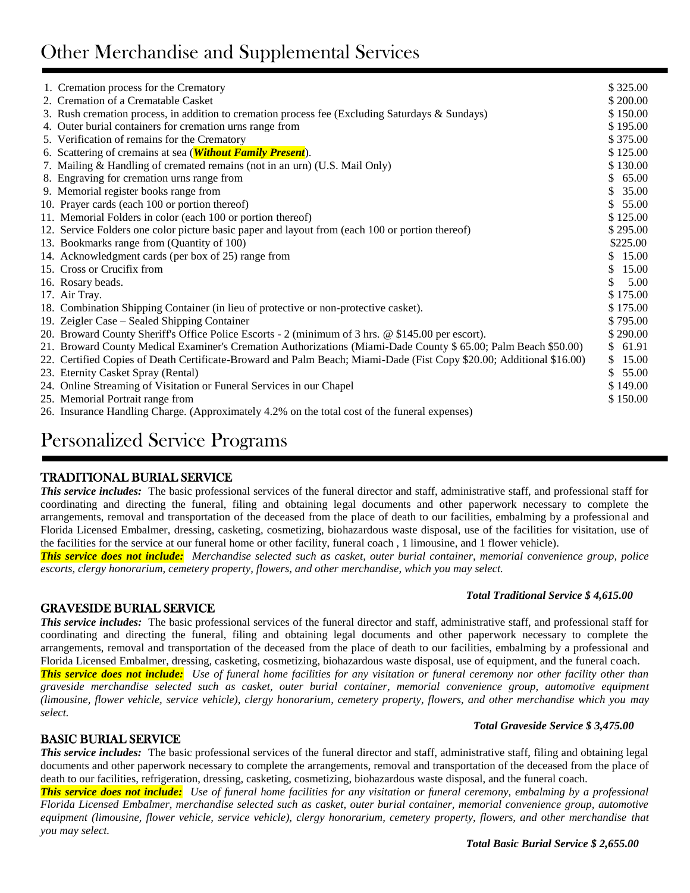# Other Merchandise and Supplemental Services

| 1. Cremation process for the Crematory                                                                               | \$325.00               |
|----------------------------------------------------------------------------------------------------------------------|------------------------|
| 2. Cremation of a Crematable Casket                                                                                  | \$200.00               |
| 3. Rush cremation process, in addition to cremation process fee (Excluding Saturdays & Sundays)                      | \$150.00               |
| 4. Outer burial containers for cremation urns range from                                                             | \$195.00               |
| 5. Verification of remains for the Crematory                                                                         | \$375.00               |
| 6. Scattering of cremains at sea ( <i>Without Family Present</i> ).                                                  | \$125.00               |
| 7. Mailing & Handling of cremated remains (not in an urn) (U.S. Mail Only)                                           | \$130.00               |
| 8. Engraving for cremation urns range from                                                                           | \$65.00                |
| 9. Memorial register books range from                                                                                | 35.00<br>S.            |
| 10. Prayer cards (each 100 or portion thereof)                                                                       | 55.00<br>S.            |
| 11. Memorial Folders in color (each 100 or portion thereof)                                                          | \$125.00               |
| 12. Service Folders one color picture basic paper and layout from (each 100 or portion thereof)                      | \$295.00               |
| 13. Bookmarks range from (Quantity of 100)                                                                           | \$225.00               |
| 14. Acknowledgment cards (per box of 25) range from                                                                  | \$15.00                |
| 15. Cross or Crucifix from                                                                                           | 15.00<br><sup>\$</sup> |
| 16. Rosary beads.                                                                                                    | \$.<br>5.00            |
| 17. Air Tray.                                                                                                        | \$175.00               |
| 18. Combination Shipping Container (in lieu of protective or non-protective casket).                                 | \$175.00               |
| 19. Zeigler Case – Sealed Shipping Container                                                                         | \$795.00               |
| 20. Broward County Sheriff's Office Police Escorts - 2 (minimum of 3 hrs. @ \$145.00 per escort).                    | \$290.00               |
| 21. Broward County Medical Examiner's Cremation Authorizations (Miami-Dade County \$ 65.00; Palm Beach \$50.00)      | \$61.91                |
| 22. Certified Copies of Death Certificate-Broward and Palm Beach; Miami-Dade (Fist Copy \$20.00; Additional \$16.00) | 15.00<br>S.            |
| 23. Eternity Casket Spray (Rental)                                                                                   | 55.00<br>S.            |
| 24. Online Streaming of Visitation or Funeral Services in our Chapel                                                 | \$149.00               |
| 25. Memorial Portrait range from                                                                                     | \$150.00               |
| 26. Insurance Handling Charge. (Approximately 4.2% on the total cost of the funeral expenses)                        |                        |

### Personalized Service Programs

### TRADITIONAL BURIAL SERVICE

*This service includes:* The basic professional services of the funeral director and staff, administrative staff, and professional staff for coordinating and directing the funeral, filing and obtaining legal documents and other paperwork necessary to complete the arrangements, removal and transportation of the deceased from the place of death to our facilities, embalming by a professional and Florida Licensed Embalmer, dressing, casketing, cosmetizing, biohazardous waste disposal, use of the facilities for visitation, use of the facilities for the service at our funeral home or other facility, funeral coach , 1 limousine, and 1 flower vehicle).

*This service does not include: Merchandise selected such as casket, outer burial container, memorial convenience group, police escorts, clergy honorarium, cemetery property, flowers, and other merchandise, which you may select.* 

#### GRAVESIDE BURIAL SERVICE

*This service includes:* The basic professional services of the funeral director and staff, administrative staff, and professional staff for coordinating and directing the funeral, filing and obtaining legal documents and other paperwork necessary to complete the arrangements, removal and transportation of the deceased from the place of death to our facilities, embalming by a professional and Florida Licensed Embalmer, dressing, casketing, cosmetizing, biohazardous waste disposal, use of equipment, and the funeral coach.

*This service does not include: Use of funeral home facilities for any visitation or funeral ceremony nor other facility other than graveside merchandise selected such as casket, outer burial container, memorial convenience group, automotive equipment (limousine, flower vehicle, service vehicle), clergy honorarium, cemetery property, flowers, and other merchandise which you may select.* 

### BASIC BURIAL SERVICE

**This service includes:** The basic professional services of the funeral director and staff, administrative staff, filing and obtaining legal documents and other paperwork necessary to complete the arrangements, removal and transportation of the deceased from the place of death to our facilities, refrigeration, dressing, casketing, cosmetizing, biohazardous waste disposal, and the funeral coach.

*This service does not include: Use of funeral home facilities for any visitation or funeral ceremony, embalming by a professional Florida Licensed Embalmer, merchandise selected such as casket, outer burial container, memorial convenience group, automotive equipment (limousine, flower vehicle, service vehicle), clergy honorarium, cemetery property, flowers, and other merchandise that you may select.* 

#### *Total Traditional Service \$ 4,615.00*

*Total Graveside Service \$ 3,475.00*